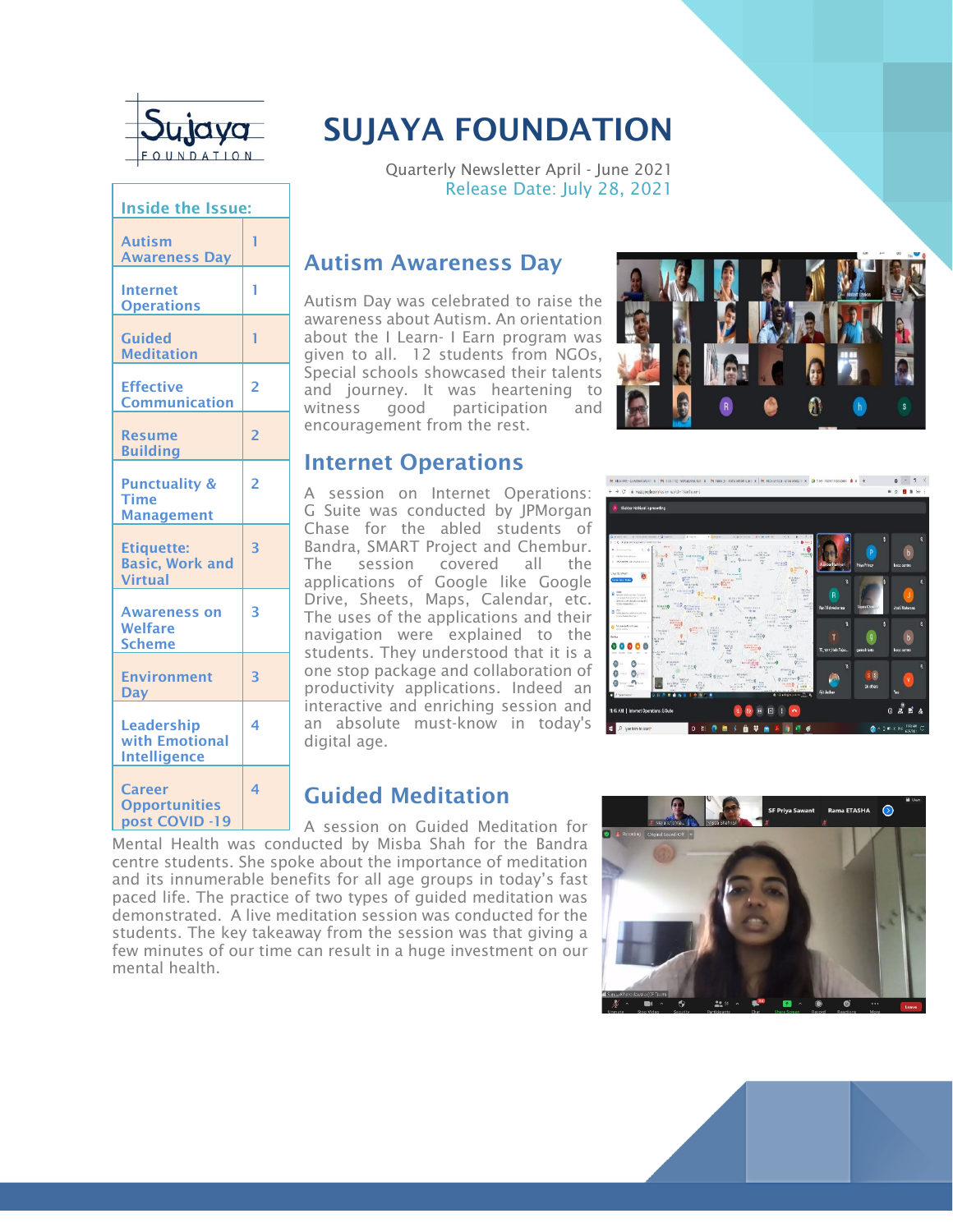

| <b>Inside the Issue:</b>                                      |                         |
|---------------------------------------------------------------|-------------------------|
| <b>Autism</b><br><b>Awareness Day</b>                         | 1                       |
| <b>Internet</b><br><b>Operations</b>                          | 1                       |
| <b>Guided</b><br><b>Meditation</b>                            | 1                       |
| <b>Effective</b><br><b>Communication</b>                      | $\overline{2}$          |
| <b>Resume</b><br><b>Building</b>                              | $\overline{2}$          |
| <b>Punctuality &amp;</b><br><b>Time</b><br><b>Management</b>  | $\overline{2}$          |
| <b>Etiquette:</b><br><b>Basic, Work and</b><br><b>Virtual</b> | $\overline{\mathbf{3}}$ |
| <b>Awareness on</b><br><b>Welfare</b><br><b>Scheme</b>        | 3                       |
| <b>Environment</b><br><b>Day</b>                              | $\overline{\mathbf{3}}$ |
| <b>Leadership</b><br>with Emotional<br><b>Intelligence</b>    | 4                       |
| <b>Career</b><br><b>Opportunities</b><br>post COVID -19       | $\overline{\mathbf{A}}$ |

### SUJAYA FOUNDATION

Quarterly Newsletter April - June 2021 Release Date: July 28, 2021

#### Autism Awareness Day

Autism Day was celebrated to raise the awareness about Autism. An orientation about the I Learn- I Earn program was given to all. 12 students from NGOs, Special schools showcased their talents and journey. It was heartening to witness good participation and encouragement from the rest.



#### Internet Operations

A session on Internet Operations: G Suite was conducted by JPMorgan Chase for the abled students of Bandra, SMART Project and Chembur. The session covered all the applications of Google like Google Drive, Sheets, Maps, Calendar, etc. The uses of the applications and their navigation were explained to the students. They understood that it is a one stop package and collaboration of productivity applications. Indeed an interactive and enriching session and an absolute must-know in today's digital age.

# **M** RECORD-SUMMERED X | M FORTEL INSURANCE X | M Rec 2- WEIGHTERS (C) | M RECORDED INVESTIGATION IN | 22 YEAR FORWARD IN | A | X | + | 0 | - | 3 X  $\triangle$   $P$   $\triangle$  matricelements. ■ ☆ ■ ★ 〜 .<br><mark>A</mark>ir Alactor Hathland in presenting

#### Guided Meditation

A session on Guided Meditation for Mental Health was conducted by Misba Shah for the Bandra centre students. She spoke about the importance of meditation and its innumerable benefits for all age groups in today's fast paced life. The practice of two types of guided meditation was demonstrated. A live meditation session was conducted for the students. The key takeaway from the session was that giving a few minutes of our time can result in a huge investment on our mental health.



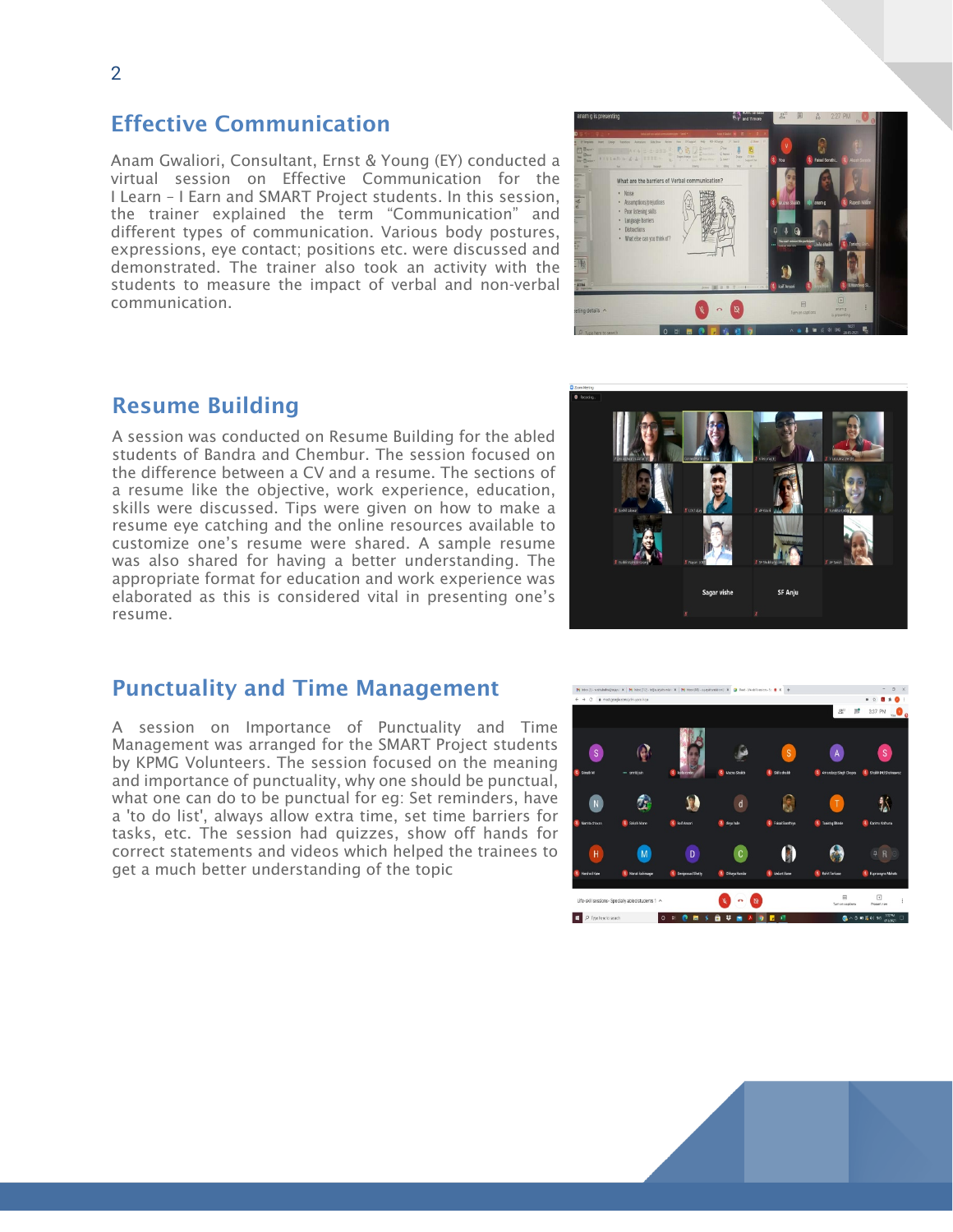#### 2

#### Effective Communication

Anam Gwaliori, Consultant, Ernst & Young (EY) conducted a virtual session on Effective Communication for the I Learn – I Earn and SMART Project students. In this session, the trainer explained the term "Communication" and different types of communication. Various body postures, expressions, eye contact; positions etc. were discussed and demonstrated. The trainer also took an activity with the students to measure the impact of verbal and non-verbal communication.



#### Resume Building

A session was conducted on Resume Building for the abled students of Bandra and Chembur. The session focused on the difference between a CV and a resume. The sections of a resume like the objective, work experience, education, skills were discussed. Tips were given on how to make a resume eye catching and the online resources available to customize one's resume were shared. A sample resume was also shared for having a better understanding. The appropriate format for education and work experience was elaborated as this is considered vital in presenting one's resume.

#### Punctuality and Time Management

A session on Importance of Punctuality and Time Management was arranged for the SMART Project students by KPMG Volunteers. The session focused on the meaning and importance of punctuality, why one should be punctual, what one can do to be punctual for eg: Set reminders, have a 'to do list', always allow extra time, set time barriers for tasks, etc. The session had quizzes, show off hands for correct statements and videos which helped the trainees to get a much better understanding of the topic





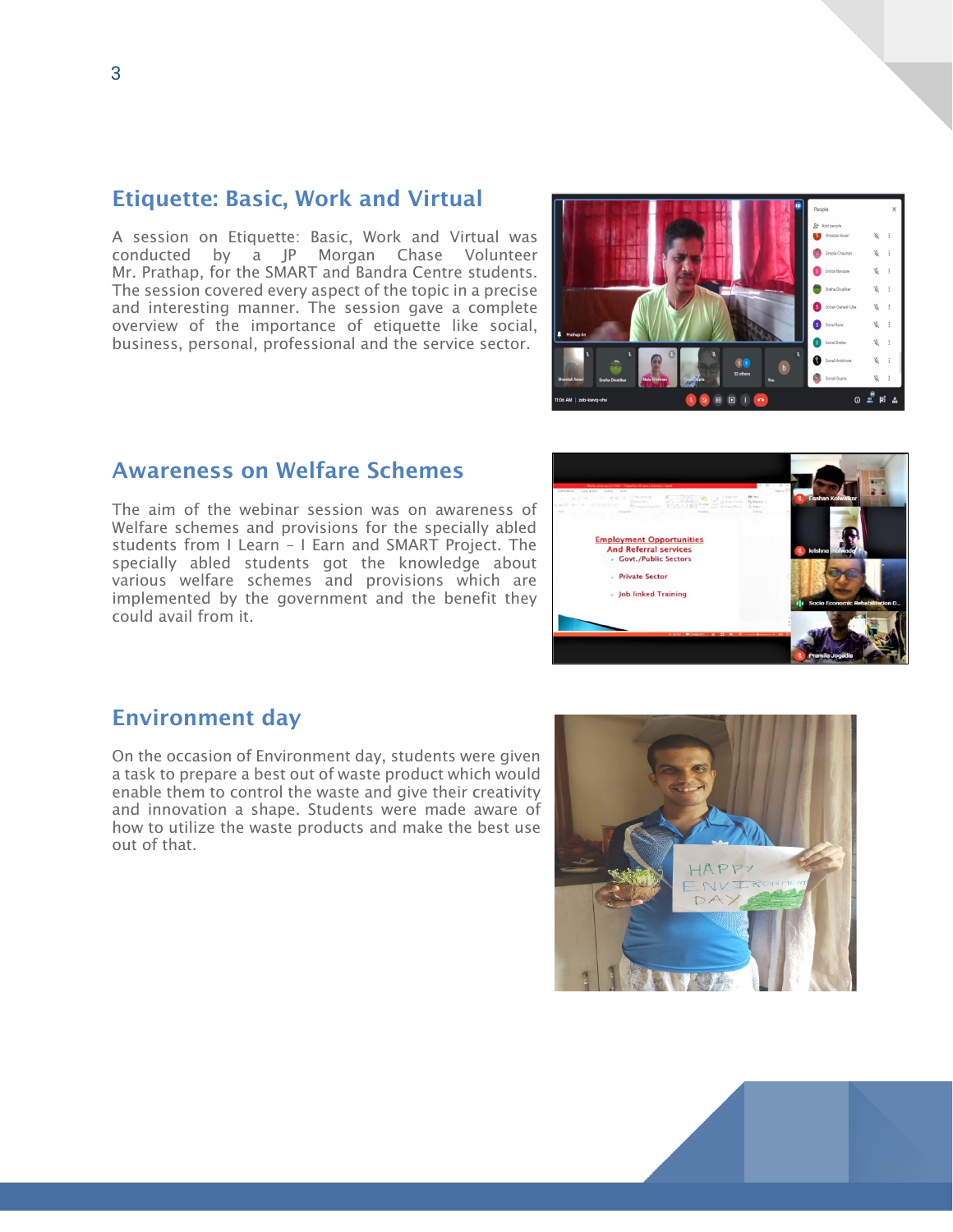#### Etiquette: Basic, Work and Virtual

A session on Etiquette: Basic, Work and Virtual was conducted by a JP Morgan Chase Volunteer Mr. Prathap, for the SMART and Bandra Centre students. The session covered every aspect of the topic in a precise and interesting manner. The session gave a complete overview of the importance of etiquette like social, business, personal, professional and the service sector.

# $\sim$ ០ <del>=</del> ំ E = ំ

#### Awareness on Welfare Schemes

The aim of the webinar session was on awareness of Welfare schemes and provisions for the specially abled students from I Learn – I Earn and SMART Project. The specially abled students got the knowledge about various welfare schemes and provisions which are implemented by the government and the benefit they could avail from it.

## **EL 1999 12 UNITED Employment Opportunities** And Referral services - Private Sector - Job linked Training

#### Environment day

On the occasion of Environment day, students were given a task to prepare a best out of waste product which would enable them to control the waste and give their creativity and innovation a shape. Students were made aware of how to utilize the waste products and make the best use out of that.